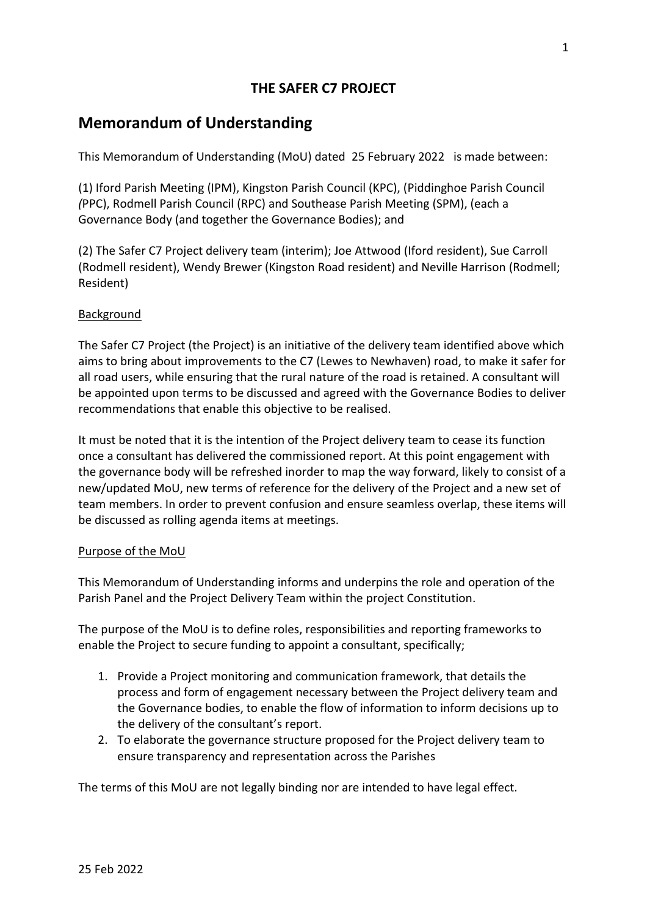# **THE SAFER C7 PROJECT**

# **Memorandum of Understanding**

This Memorandum of Understanding (MoU) dated 25 February 2022 is made between:

(1) Iford Parish Meeting (IPM), Kingston Parish Council (KPC), (Piddinghoe Parish Council *(*PPC), Rodmell Parish Council (RPC) and Southease Parish Meeting (SPM), (each a Governance Body (and together the Governance Bodies); and

(2) The Safer C7 Project delivery team (interim); Joe Attwood (Iford resident), Sue Carroll (Rodmell resident), Wendy Brewer (Kingston Road resident) and Neville Harrison (Rodmell; Resident)

## Background

The Safer C7 Project (the Project) is an initiative of the delivery team identified above which aims to bring about improvements to the C7 (Lewes to Newhaven) road, to make it safer for all road users, while ensuring that the rural nature of the road is retained. A consultant will be appointed upon terms to be discussed and agreed with the Governance Bodies to deliver recommendations that enable this objective to be realised.

It must be noted that it is the intention of the Project delivery team to cease its function once a consultant has delivered the commissioned report. At this point engagement with the governance body will be refreshed inorder to map the way forward, likely to consist of a new/updated MoU, new terms of reference for the delivery of the Project and a new set of team members. In order to prevent confusion and ensure seamless overlap, these items will be discussed as rolling agenda items at meetings.

### Purpose of the MoU

This Memorandum of Understanding informs and underpins the role and operation of the Parish Panel and the Project Delivery Team within the project Constitution.

The purpose of the MoU is to define roles, responsibilities and reporting frameworks to enable the Project to secure funding to appoint a consultant, specifically;

- 1. Provide a Project monitoring and communication framework, that details the process and form of engagement necessary between the Project delivery team and the Governance bodies, to enable the flow of information to inform decisions up to the delivery of the consultant's report.
- 2. To elaborate the governance structure proposed for the Project delivery team to ensure transparency and representation across the Parishes

The terms of this MoU are not legally binding nor are intended to have legal effect.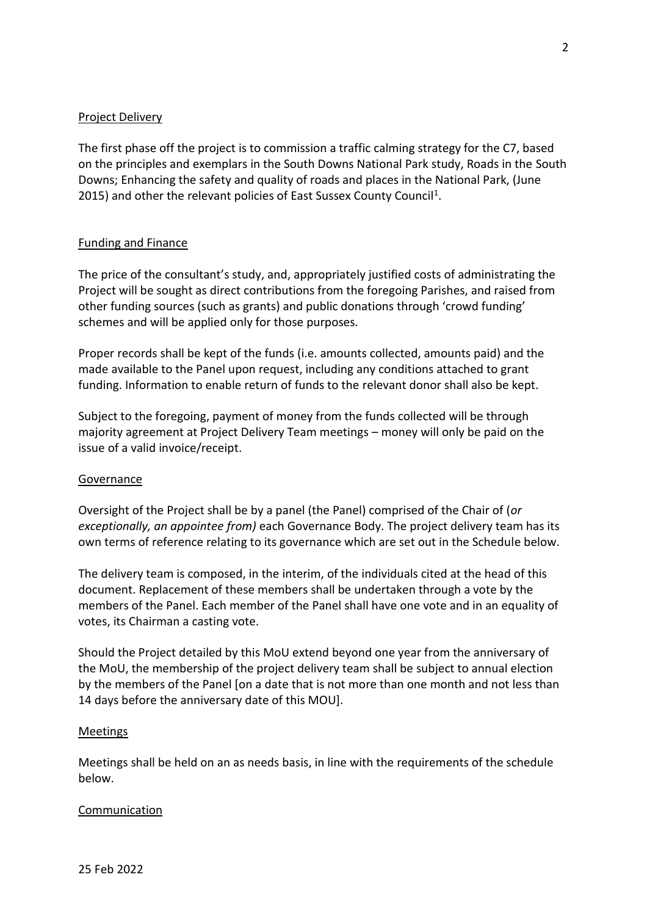### Project Delivery

The first phase off the project is to commission a traffic calming strategy for the C7, based on the principles and exemplars in the South Downs National Park study, Roads in the South Downs; Enhancing the safety and quality of roads and places in the National Park, (June 2015) and other the relevant policies of East Sussex County Council<sup>1</sup>.

### Funding and Finance

The price of the consultant's study, and, appropriately justified costs of administrating the Project will be sought as direct contributions from the foregoing Parishes, and raised from other funding sources (such as grants) and public donations through 'crowd funding' schemes and will be applied only for those purposes.

Proper records shall be kept of the funds (i.e. amounts collected, amounts paid) and the made available to the Panel upon request, including any conditions attached to grant funding. Information to enable return of funds to the relevant donor shall also be kept.

Subject to the foregoing, payment of money from the funds collected will be through majority agreement at Project Delivery Team meetings – money will only be paid on the issue of a valid invoice/receipt.

### **Governance**

Oversight of the Project shall be by a panel (the Panel) comprised of the Chair of (*or exceptionally, an appointee from)* each Governance Body. The project delivery team has its own terms of reference relating to its governance which are set out in the Schedule below.

The delivery team is composed, in the interim, of the individuals cited at the head of this document. Replacement of these members shall be undertaken through a vote by the members of the Panel. Each member of the Panel shall have one vote and in an equality of votes, its Chairman a casting vote.

Should the Project detailed by this MoU extend beyond one year from the anniversary of the MoU, the membership of the project delivery team shall be subject to annual election by the members of the Panel [on a date that is not more than one month and not less than 14 days before the anniversary date of this MOU].

### **Meetings**

Meetings shall be held on an as needs basis, in line with the requirements of the schedule below.

### **Communication**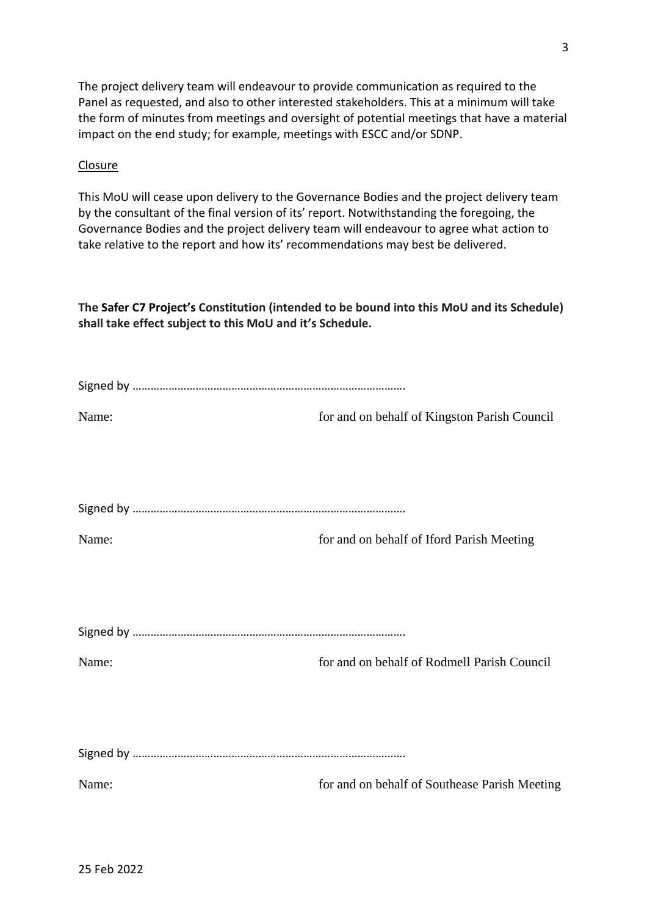The project delivery team will endeavour to provide communication as required to the Panel as requested, and also to other interested stakeholders. This at a minimum will take the form of minutes from meetings and oversight of potential meetings that have a material impact on the end study; for example, meetings with ESCC and/or SDNP.

#### **Closure**

This MoU will cease upon delivery to the Governance Bodies and the project delivery team by the consultant of the final version of its' report. Notwithstanding the foregoing, the Governance Bodies and the project delivery team will endeavour to agree what action to take relative to the report and how its' recommendations may best be delivered.

**The Safer C7 Project's Constitution (intended to be bound into this MoU and its Schedule) shall take effect subject to this MoU and it's Schedule.**

| Name: | for and on behalf of Kingston Parish Council  |
|-------|-----------------------------------------------|
|       |                                               |
|       |                                               |
|       |                                               |
| Name: | for and on behalf of Iford Parish Meeting     |
|       |                                               |
|       |                                               |
|       |                                               |
| Name: | for and on behalf of Rodmell Parish Council   |
|       |                                               |
|       |                                               |
|       |                                               |
| Name: | for and on behalf of Southease Parish Meeting |
|       |                                               |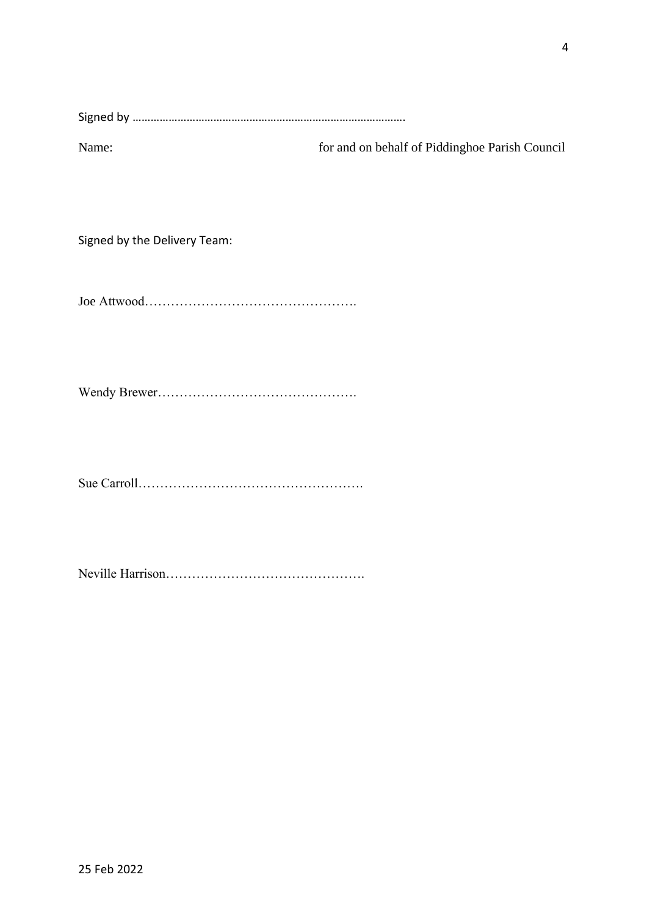|--|

Name: for and on behalf of Piddinghoe Parish Council

Signed by the Delivery Team:

Joe Attwood………………………………………….

Wendy Brewer……………………………………….

Sue Carroll…………………………………………….

Neville Harrison……………………………………….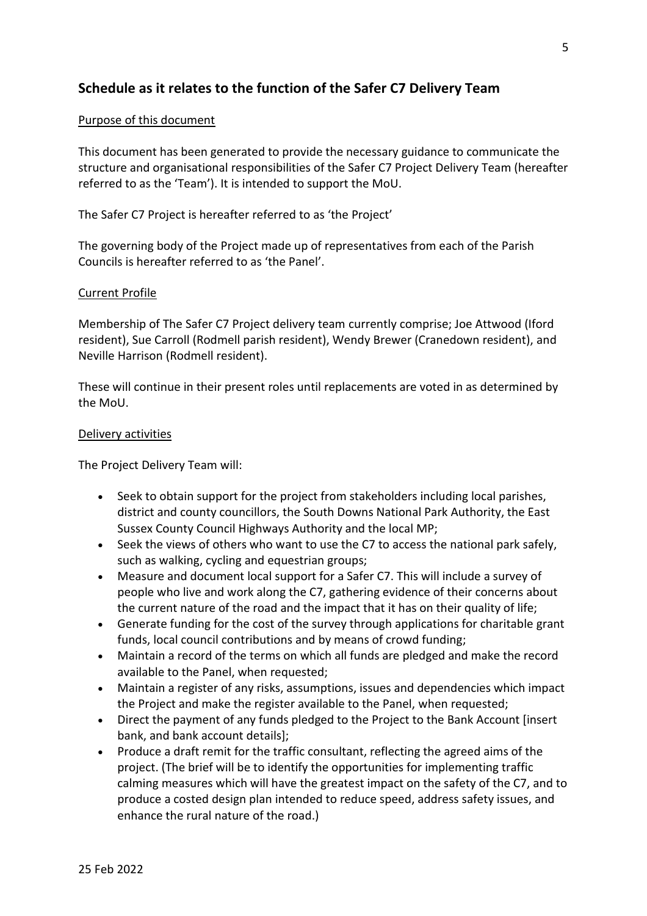# **Schedule as it relates to the function of the Safer C7 Delivery Team**

### Purpose of this document

This document has been generated to provide the necessary guidance to communicate the structure and organisational responsibilities of the Safer C7 Project Delivery Team (hereafter referred to as the 'Team'). It is intended to support the MoU.

The Safer C7 Project is hereafter referred to as 'the Project'

The governing body of the Project made up of representatives from each of the Parish Councils is hereafter referred to as 'the Panel'.

### Current Profile

Membership of The Safer C7 Project delivery team currently comprise; Joe Attwood (Iford resident), Sue Carroll (Rodmell parish resident), Wendy Brewer (Cranedown resident), and Neville Harrison (Rodmell resident).

These will continue in their present roles until replacements are voted in as determined by the MoU.

#### Delivery activities

The Project Delivery Team will:

- Seek to obtain support for the project from stakeholders including local parishes, district and county councillors, the South Downs National Park Authority, the East Sussex County Council Highways Authority and the local MP;
- Seek the views of others who want to use the C7 to access the national park safely, such as walking, cycling and equestrian groups;
- Measure and document local support for a Safer C7. This will include a survey of people who live and work along the C7, gathering evidence of their concerns about the current nature of the road and the impact that it has on their quality of life;
- Generate funding for the cost of the survey through applications for charitable grant funds, local council contributions and by means of crowd funding;
- Maintain a record of the terms on which all funds are pledged and make the record available to the Panel, when requested;
- Maintain a register of any risks, assumptions, issues and dependencies which impact the Project and make the register available to the Panel, when requested;
- Direct the payment of any funds pledged to the Project to the Bank Account [insert bank, and bank account details];
- Produce a draft remit for the traffic consultant, reflecting the agreed aims of the project. (The brief will be to identify the opportunities for implementing traffic calming measures which will have the greatest impact on the safety of the C7, and to produce a costed design plan intended to reduce speed, address safety issues, and enhance the rural nature of the road.)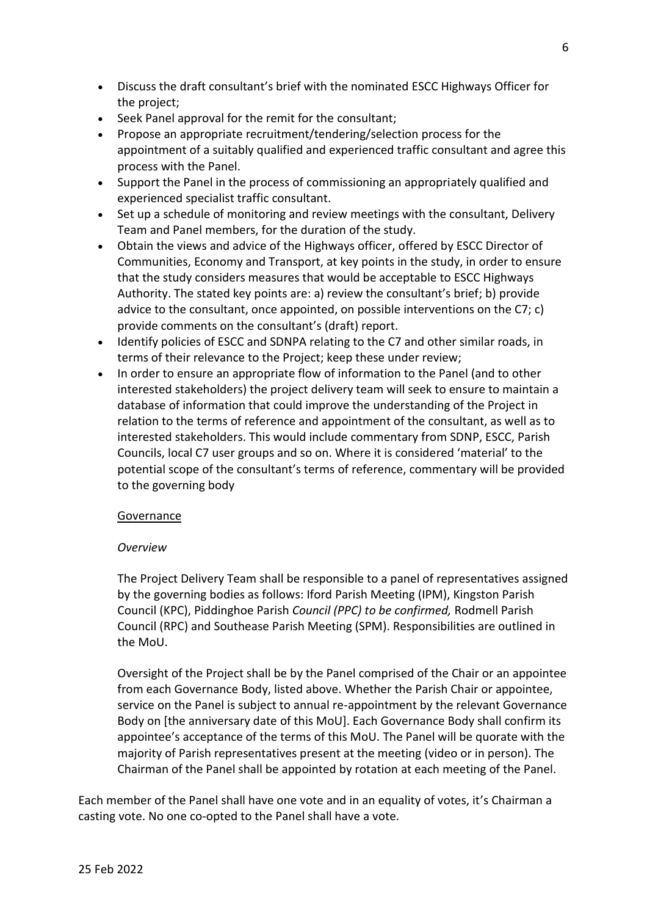- Discuss the draft consultant's brief with the nominated ESCC Highways Officer for the project;
- Seek Panel approval for the remit for the consultant;
- Propose an appropriate recruitment/tendering/selection process for the appointment of a suitably qualified and experienced traffic consultant and agree this process with the Panel.
- Support the Panel in the process of commissioning an appropriately qualified and experienced specialist traffic consultant.
- Set up a schedule of monitoring and review meetings with the consultant, Delivery Team and Panel members, for the duration of the study.
- Obtain the views and advice of the Highways officer, offered by ESCC Director of Communities, Economy and Transport, at key points in the study, in order to ensure that the study considers measures that would be acceptable to ESCC Highways Authority. The stated key points are: a) review the consultant's brief; b) provide advice to the consultant, once appointed, on possible interventions on the C7; c) provide comments on the consultant's (draft) report.
- Identify policies of ESCC and SDNPA relating to the C7 and other similar roads, in terms of their relevance to the Project; keep these under review;
- In order to ensure an appropriate flow of information to the Panel (and to other interested stakeholders) the project delivery team will seek to ensure to maintain a database of information that could improve the understanding of the Project in relation to the terms of reference and appointment of the consultant, as well as to interested stakeholders. This would include commentary from SDNP, ESCC, Parish Councils, local C7 user groups and so on. Where it is considered 'material' to the potential scope of the consultant's terms of reference, commentary will be provided to the governing body

### **Governance**

# *Overview*

The Project Delivery Team shall be responsible to a panel of representatives assigned by the governing bodies as follows: Iford Parish Meeting (IPM), Kingston Parish Council (KPC), Piddinghoe Parish *Council (PPC) to be confirmed,* Rodmell Parish Council (RPC) and Southease Parish Meeting (SPM). Responsibilities are outlined in the MoU.

Oversight of the Project shall be by the Panel comprised of the Chair or an appointee from each Governance Body, listed above. Whether the Parish Chair or appointee, service on the Panel is subject to annual re-appointment by the relevant Governance Body on [the anniversary date of this MoU]. Each Governance Body shall confirm its appointee's acceptance of the terms of this MoU. The Panel will be quorate with the majority of Parish representatives present at the meeting (video or in person). The Chairman of the Panel shall be appointed by rotation at each meeting of the Panel.

Each member of the Panel shall have one vote and in an equality of votes, it's Chairman a casting vote. No one co-opted to the Panel shall have a vote.